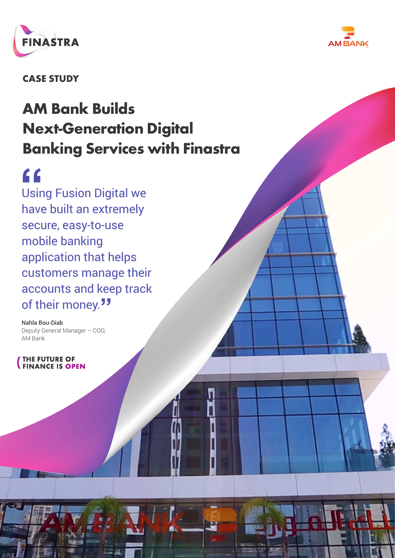



**CASE STUDY**

# **AM Bank Builds Next-Generation Digital Banking Services with Finastra**

**"**<br>Usin<br>have Using Fusion Digital we have built an extremely secure, easy-to-use mobile banking application that helps customers manage their accounts and keep track of their money.**"**

Nahla Bou-Diab Deputy General Manager – COO, AM Bank

**THE FUTURE OF FINANCE IS OPEN**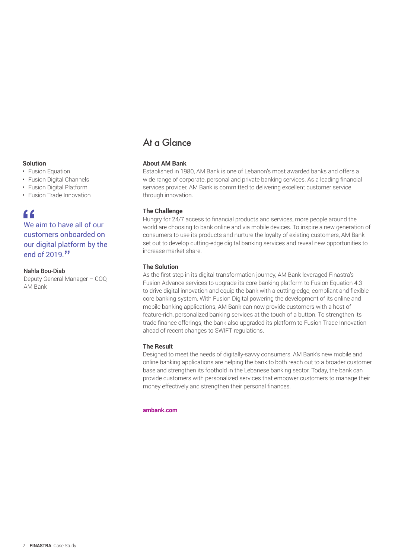#### **Solution**

- Fusion Equation
- Fusion Digital Channels
- Fusion Digital Platform
- Fusion Trade Innovation

**f**<br> **f**<br> **C**<br>
customers onboarded on We aim to have all of our our digital platform by the end of 2019.**"**

#### Nahla Bou-Diab

Deputy General Manager – COO, AM Bank

# At a Glance

### **About AM Bank**

Established in 1980, AM Bank is one of Lebanon's most awarded banks and offers a wide range of corporate, personal and private banking services. As a leading financial services provider, AM Bank is committed to delivering excellent customer service through innovation.

### **The Challenge**

Hungry for 24/7 access to financial products and services, more people around the world are choosing to bank online and via mobile devices. To inspire a new generation of consumers to use its products and nurture the loyalty of existing customers, AM Bank set out to develop cutting-edge digital banking services and reveal new opportunities to increase market share.

### **The Solution**

As the first step in its digital transformation journey, AM Bank leveraged Finastra's Fusion Advance services to upgrade its core banking platform to Fusion Equation 4.3 to drive digital innovation and equip the bank with a cutting-edge, compliant and flexible core banking system. With Fusion Digital powering the development of its online and mobile banking applications, AM Bank can now provide customers with a host of feature-rich, personalized banking services at the touch of a button. To strengthen its trade finance offerings, the bank also upgraded its platform to Fusion Trade Innovation ahead of recent changes to SWIFT regulations.

#### **The Result**

Designed to meet the needs of digitally-savvy consumers, AM Bank's new mobile and online banking applications are helping the bank to both reach out to a broader customer base and strengthen its foothold in the Lebanese banking sector. Today, the bank can provide customers with personalized services that empower customers to manage their money effectively and strengthen their personal finances.

#### **[ambank.com](https://www.ambank.com/english/home)**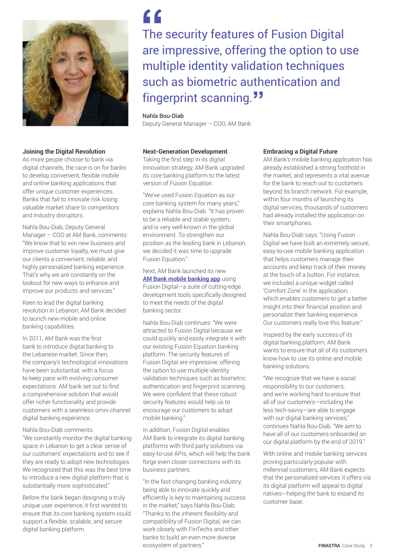

#### **Joining the Digital Revolution**

As more people choose to bank via digital channels, the race is on for banks to develop convenient, flexible mobile and online banking applications that offer unique customer experiences. Banks that fail to innovate risk losing valuable market share to competitors and industry disruptors.

Nahla Bou-Diab, Deputy General Manager – COO at AM Bank, comments: "We know that to win new business and improve customer loyalty, we must give our clients a convenient, reliable, and highly personalized banking experience. That's why we are constantly on the lookout for new ways to enhance and improve our products and services."

Keen to lead the digital banking revolution in Lebanon, AM Bank decided to launch new mobile and online banking capabilities.

In 2011, AM Bank was the first bank to introduce digital banking to the Lebanese market. Since then, the company's technological innovations have been substantial, with a focus to keep pace with evolving consumer expectations. AM bank set out to find a comprehensive solution that would offer richer functionality and provide customers with a seamless omni-channel digital banking experience.

Nahla Bou-Diab comments: "We constantly monitor the digital banking space in Lebanon to get a clear sense of our customers' expectations and to see if they are ready to adopt new technologies. We recognized that this was the best time to introduce a new digital platform that is substantially more sophisticated."

Before the bank began designing a truly unique user experience, it first wanted to ensure that its core banking system could support a flexible, scalable, and secure digital banking platform.

**f f**<br>
The security features of Fusion Digital<br>
are impressive, offering the option to use The security features of Fusion Digital multiple identity validation techniques such as biometric authentication and fingerprint scanning.**"**

#### Nahla Bou-Diab

Deputy General Manager – COO, AM Bank

### **Next-Generation Development**

Taking the first step in its digital innovation strategy, AM Bank upgraded its core banking platform to the latest version of Fusion Equation.

"We've used Fusion Equation as our core banking system for many years," explains Nahla Bou-Diab. "It has proven to be a reliable and stable system, and is very well-known in the global environment. To strengthen our position as the leading bank in Lebanon, we decided it was time to upgrade Fusion Equation."

Next, AM Bank launched its new **[AM Bank mobile banking app](https://www.ambank.com/english/services/mobile)** using Fusion Digital—a suite of cutting-edge development tools specifically designed to meet the needs of the digital banking sector.

Nahla Bou-Diab continues: "We were attracted to Fusion Digital because we could quickly and easily integrate it with our existing Fusion Equation banking platform. The security features of Fusion Digital are impressive, offering the option to use multiple identity validation techniques such as biometric authentication and fingerprint scanning. We were confident that these robust security features would help us to encourage our customers to adopt mobile banking."

In addition, Fusion Digital enables AM Bank to integrate its digital banking platforms with third party solutions via easy-to-use APIs, which will help the bank forge even closer connections with its business partners.

"In the fast-changing banking industry, being able to innovate quickly and efficiently is key to maintaining success in the market," says Nahla Bou-Diab. "Thanks to the inherent flexibility and compatibility of Fusion Digital, we can work closely with FinTechs and other banks to build an even more diverse ecosystem of partners."

#### **Embracing a Digital Future**

AM Bank's mobile banking application has already established a strong foothold in the market, and represents a vital avenue for the bank to reach out to customers beyond its branch network. For example, within four months of launching its digital services, thousands of customers had already installed the application on their smartphones.

Nahla Bou-Diab says: "Using Fusion Digital we have built an extremely secure, easy-to-use mobile banking application that helps customers manage their accounts and keep track of their money at the touch of a button. For instance, we included a unique widget called 'Comfort Zone' in the application, which enables customers to get a better insight into their financial position and personalize their banking experience. Our customers really love this feature."

Inspired by the early success of its digital banking platform, AM Bank wants to ensure that all of its customers know how to use its online and mobile banking solutions.

"We recognize that we have a social responsibility to our customers, and we're working hard to ensure that all of our customers—including the less tech-savvy—are able to engage with our digital banking services," continues Nahla Bou-Diab. "We aim to have all of our customers onboarded on our digital platform by the end of 2019."

With online and mobile banking services proving particularly popular with millennial customers, AM Bank expects that the personalized services it offers via its digital platform will appeal to digital natives—helping the bank to expand its customer base.